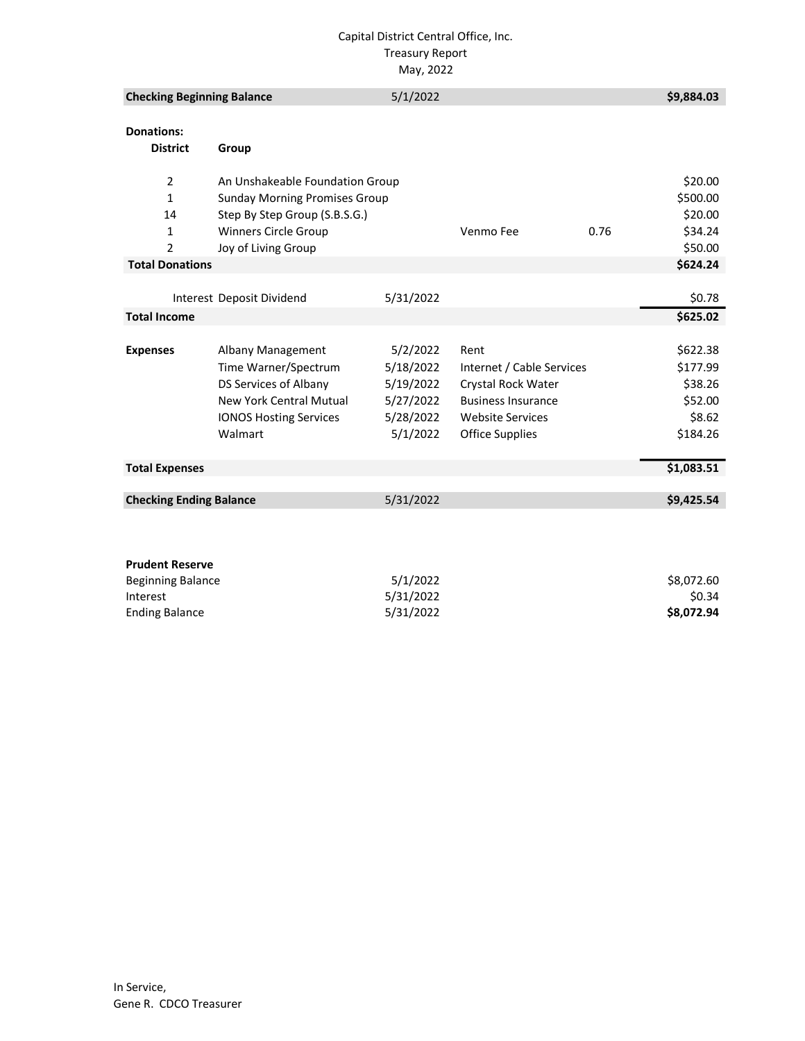#### Capital District Central Office, Inc. Treasury Report May, 2022

| <b>Checking Beginning Balance</b>    |                                      | 5/1/2022  |                           |      | \$9,884.03 |
|--------------------------------------|--------------------------------------|-----------|---------------------------|------|------------|
| <b>Donations:</b><br><b>District</b> | Group                                |           |                           |      |            |
|                                      |                                      |           |                           |      |            |
| $\overline{2}$                       | An Unshakeable Foundation Group      |           |                           |      | \$20.00    |
| $\mathbf{1}$                         | <b>Sunday Morning Promises Group</b> |           |                           |      | \$500.00   |
| 14                                   | Step By Step Group (S.B.S.G.)        |           |                           |      | \$20.00    |
| 1                                    | <b>Winners Circle Group</b>          |           | Venmo Fee                 | 0.76 | \$34.24    |
| $\overline{2}$                       | Joy of Living Group                  |           |                           |      | \$50.00    |
| <b>Total Donations</b>               |                                      |           |                           |      | \$624.24   |
|                                      |                                      |           |                           |      |            |
|                                      | Interest Deposit Dividend            | 5/31/2022 |                           |      | \$0.78     |
| <b>Total Income</b>                  |                                      |           |                           |      | \$625.02   |
|                                      |                                      |           |                           |      |            |
| <b>Expenses</b>                      | Albany Management                    | 5/2/2022  | Rent                      |      | \$622.38   |
|                                      | Time Warner/Spectrum                 | 5/18/2022 | Internet / Cable Services |      | \$177.99   |
|                                      | DS Services of Albany                | 5/19/2022 | Crystal Rock Water        |      | \$38.26    |
|                                      | <b>New York Central Mutual</b>       | 5/27/2022 | <b>Business Insurance</b> |      | \$52.00    |
|                                      | <b>IONOS Hosting Services</b>        | 5/28/2022 | <b>Website Services</b>   |      | \$8.62     |
|                                      | Walmart                              | 5/1/2022  | <b>Office Supplies</b>    |      | \$184.26   |
|                                      |                                      |           |                           |      |            |
| <b>Total Expenses</b>                |                                      |           |                           |      | \$1,083.51 |
|                                      |                                      |           |                           |      |            |
| <b>Checking Ending Balance</b>       |                                      | 5/31/2022 |                           |      | \$9,425.54 |
|                                      |                                      |           |                           |      |            |
|                                      |                                      |           |                           |      |            |
|                                      |                                      |           |                           |      |            |
| <b>Prudent Reserve</b>               |                                      |           |                           |      |            |
| <b>Beginning Balance</b>             |                                      | 5/1/2022  |                           |      | \$8.072.60 |

| Beginning Balance     | 5/1/2022  | \$8.072.60 |
|-----------------------|-----------|------------|
| Interest              | 5/31/2022 | \$0.34     |
| <b>Ending Balance</b> | 5/31/2022 | \$8.072.94 |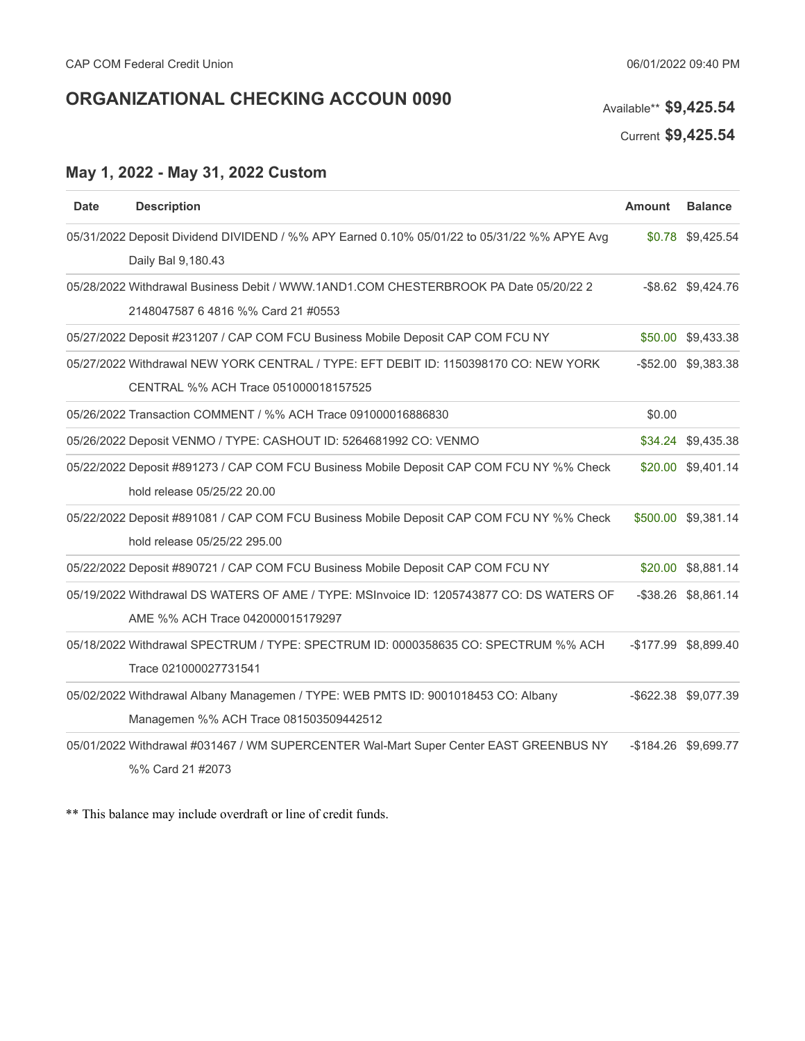# **ORGANIZATIONAL CHECKING ACCOUN 0090** Available\*\* \$9,425.54

Current **\$9,425.54**

### **May 1, 2022 - May 31, 2022 Custom**

| <b>Date</b> | <b>Description</b>                                                                                                           | <b>Amount</b> | <b>Balance</b>       |
|-------------|------------------------------------------------------------------------------------------------------------------------------|---------------|----------------------|
|             | 05/31/2022 Deposit Dividend DIVIDEND / %% APY Earned 0.10% 05/01/22 to 05/31/22 %% APYE Avg<br>Daily Bal 9,180.43            |               | \$0.78 \$9,425.54    |
|             | 05/28/2022 Withdrawal Business Debit / WWW.1AND1.COM CHESTERBROOK PA Date 05/20/22 2<br>2148047587 6 4816 %% Card 21 #0553   |               | -\$8.62 \$9,424.76   |
|             | 05/27/2022 Deposit #231207 / CAP COM FCU Business Mobile Deposit CAP COM FCU NY                                              | \$50.00       | \$9,433.38           |
|             | 05/27/2022 Withdrawal NEW YORK CENTRAL / TYPE: EFT DEBIT ID: 1150398170 CO: NEW YORK<br>CENTRAL %% ACH Trace 051000018157525 |               | -\$52.00 \$9,383.38  |
|             | 05/26/2022 Transaction COMMENT / %% ACH Trace 091000016886830                                                                | \$0.00        |                      |
|             | 05/26/2022 Deposit VENMO / TYPE: CASHOUT ID: 5264681992 CO: VENMO                                                            |               | \$34.24 \$9,435.38   |
|             | 05/22/2022 Deposit #891273 / CAP COM FCU Business Mobile Deposit CAP COM FCU NY %% Check<br>hold release 05/25/22 20.00      |               | \$20.00 \$9,401.14   |
|             | 05/22/2022 Deposit #891081 / CAP COM FCU Business Mobile Deposit CAP COM FCU NY %% Check<br>hold release 05/25/22 295.00     |               | \$500.00 \$9,381.14  |
|             | 05/22/2022 Deposit #890721 / CAP COM FCU Business Mobile Deposit CAP COM FCU NY                                              |               | \$20.00 \$8,881.14   |
|             | 05/19/2022 Withdrawal DS WATERS OF AME / TYPE: MSInvoice ID: 1205743877 CO: DS WATERS OF<br>AME %% ACH Trace 042000015179297 |               | -\$38.26 \$8,861.14  |
|             | 05/18/2022 Withdrawal SPECTRUM / TYPE: SPECTRUM ID: 0000358635 CO: SPECTRUM %% ACH<br>Trace 021000027731541                  |               | -\$177.99 \$8,899.40 |
|             | 05/02/2022 Withdrawal Albany Managemen / TYPE: WEB PMTS ID: 9001018453 CO: Albany<br>Managemen %% ACH Trace 081503509442512  |               | -\$622.38 \$9,077.39 |
|             | 05/01/2022 Withdrawal #031467 / WM SUPERCENTER Wal-Mart Super Center EAST GREENBUS NY<br>%% Card 21 #2073                    |               | -\$184.26 \$9,699.77 |

\*\* This balance may include overdraft or line of credit funds.